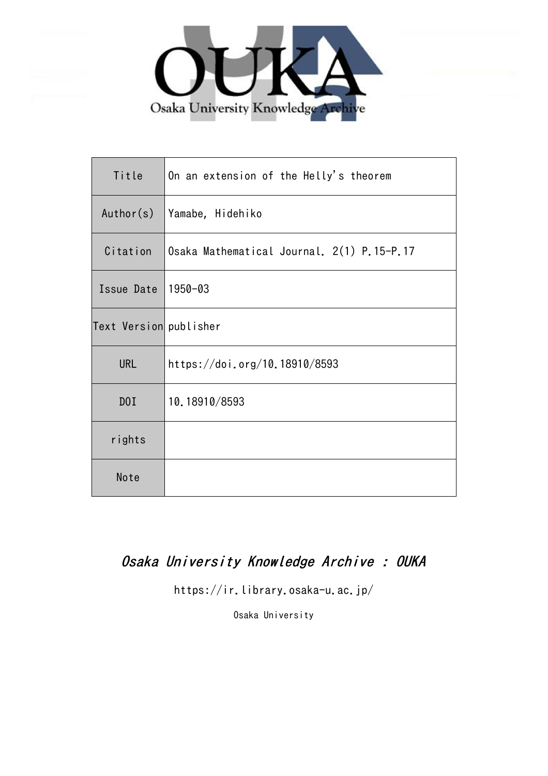

| Title                  | On an extension of the Helly's theorem     |
|------------------------|--------------------------------------------|
| Author(s)              | Yamabe, Hidehiko                           |
| Citation               | Osaka Mathematical Journal. 2(1) P.15-P.17 |
| Issue Date             | 1950-03                                    |
| Text Version publisher |                                            |
| URL                    | https://doi.org/10.18910/8593              |
| DOI                    | 10.18910/8593                              |
| rights                 |                                            |
| Note                   |                                            |

## Osaka University Knowledge Archive : OUKA

https://ir.library.osaka-u.ac.jp/

Osaka University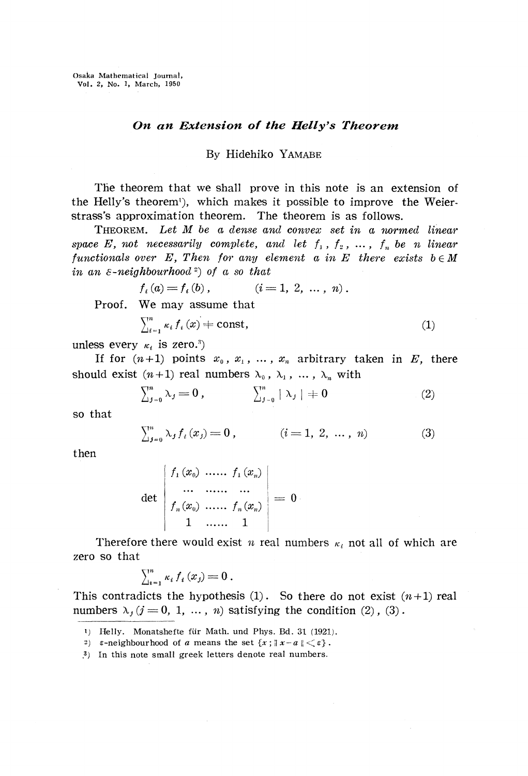## *On an Extension of the Helly's Theorem*

## By Hidehiko YAMABE

The theorem that we shall prove in this note is an extension of the Helly's theorem<sup>1</sup>), which makes it possible to improve the Weierstrass's approximation theorem. The theorem is as follows.

THEOREM. *Let M be a dense and convex set in a normed linear space E, not necessarily complete, and let*  $f_1$ ,  $f_2$ , ...,  $f_n$  be n linear *functionals over*  $E$ , Then for any element a in  $E$  there exists  $b \in M$ *in an 8-neighbourhood*<sup>2</sup> ) *of a so that*

$$
f_i(a) = f_i(b), \qquad (i = 1, 2, \ldots, n).
$$
Proof. We may assume that

$$
\sum_{i=1}^{n} \kappa_i f_i(x) \neq \text{const},\tag{1}
$$

unless every  $κ<sub>i</sub>$  is zero.<sup>3</sup>)

If for  $(n+1)$  points  $x_0, x_1, \ldots, x_n$  arbitrary taken in E, there should exist  $(n+1)$  real numbers  $\lambda_0$ ,  $\lambda_1$ , ...,  $\lambda_n$  with

$$
\sum_{j=0}^{n} \lambda_j = 0, \qquad \sum_{j=0}^{n} |\lambda_j| = 0 \qquad (2)
$$

so that

$$
\sum_{j=0}^{n} \lambda_j f_i(x_j) = 0, \qquad (i = 1, 2, \dots, n)
$$
 (3)

then

$$
\det \begin{pmatrix} f_1(x_0) & \dots & f_1(x_n) \\ \dots & \dots & \dots \\ f_n(x_0) & \dots & f_n(x_n) \\ 1 & \dots & 1 \end{pmatrix} = 0
$$

Therefore there would exist  $n$  real numbers  $\kappa_i$  not all of which are zero so that

$$
\sum_{i=1}^n \kappa_i f_i(x_j) = 0.
$$

This contradicts the hypothesis  $(1)$ . So there do not exist  $(n+1)$  real numbers  $\lambda_j$  ( $j = 0, 1, ..., n$ ) satisfying the condition (2), (3).

<sup>1)</sup> Helly. Monatshefte für Math. und Phys. Bd. 31 (1921).

<sup>2)</sup>  $\varepsilon$ -neighbourhood of *a* means the set  $\{x : ||x-a|| < \varepsilon\}$ .

<sup>.</sup> 3 ) In this note small greek letters denote real numbers.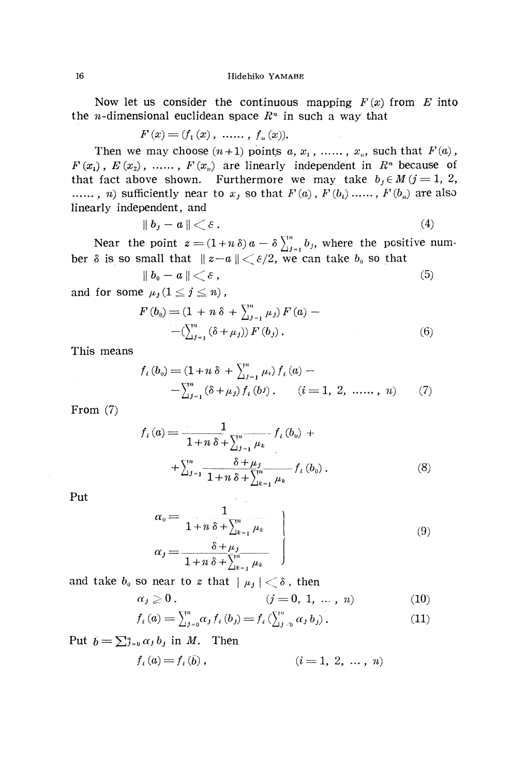Now let us consider the continuous mapping  $F(x)$  from  $E$  into the *n*-dimensional euclidean space  $R^n$  in such a way that

$$
F(x) = (f_1(x), \, \, \ldots, \, \, f_n(x)).
$$

Then we may choose  $(n+1)$  points  $a, x_1, \ldots, x_n$ , such that  $F(a)$ ,  $F(x_1)$ ,  $E(x_2)$ , ......,  $F(x_n)$  are linearly independent in  $R^n$  because of that fact above shown. Furthermore we may take  $b_j \in M$  ( $j = 1, 2$ , ......, *n*) sufficiently near to  $x_j$  so that  $F(a)$  ,  $F(b_1)$  ......,  $F(b_n)$  are also linearly independent, and

$$
\parallel b_j - a \parallel \lt \varepsilon. \tag{4}
$$

Near the point  $z = (1+n\delta) a - \delta \sum_{j=1}^{n} b_j$ , where the positive number  $\delta$  is so small that  $\|z-a\| \leq \varepsilon/2$ , we can take  $b_0$  so that

$$
\parallel b_0 - a \parallel \langle \epsilon, \tag{5}
$$

and for some  $\mu_j (1 \leq j \leq n)$  ,

$$
F(b_0) = (1 + n \delta + \sum_{j=1}^{n} \mu_j) F(a) -
$$
  
-
$$
(\sum_{j=1}^{n} (\delta + \mu_j)) F(b_j).
$$
 (6)

This means

$$
f_i(b_0) = (1 + n \delta + \sum_{j=1}^n \mu_i) f_i(a) -
$$
  

$$
-\sum_{j=1}^n (\delta + \mu_j) f_i(b^j), \qquad (i = 1, 2, \dots, n)
$$
 (7)

From (7)

$$
f_{i}(a) = \frac{1}{1+n \delta + \sum_{j=1}^{n} \mu_{k}} f_{i}(b_{0}) +
$$
  
+ 
$$
\sum_{j=1}^{n} \frac{\delta + \mu_{j}}{1+n \delta + \sum_{k=1}^{n} \mu_{k}} f_{i}(b_{0}).
$$
 (8)

Put

$$
\alpha_0 = \frac{1}{1 + n \delta + \sum_{k=1}^n \mu_k} \qquad (9)
$$
\n
$$
\alpha_j = \frac{\delta + \mu_j}{1 + n \delta + \sum_{k=1}^n \mu_k}
$$

and take  $b_{\scriptscriptstyle 0}$  so near to  $z$  that  $\mid \mu_{\scriptscriptstyle J} \mid < \delta$  , then

$$
\alpha_j \geq 0. \qquad (j = 0, 1, ..., n) \qquad (10)
$$

$$
f_i(a) = \sum_{j=0}^{n} \alpha_j f_i(b_j) = f_i(\sum_{j=0}^{n} \alpha_j b_j).
$$
 (11)

Put  $\bar{b} = \sum_{j=0}^n \alpha_j b_j$  in M. Then

$$
f_i(a) = f_i(\bar{b}), \qquad (i = 1, 2, \ldots, n)
$$